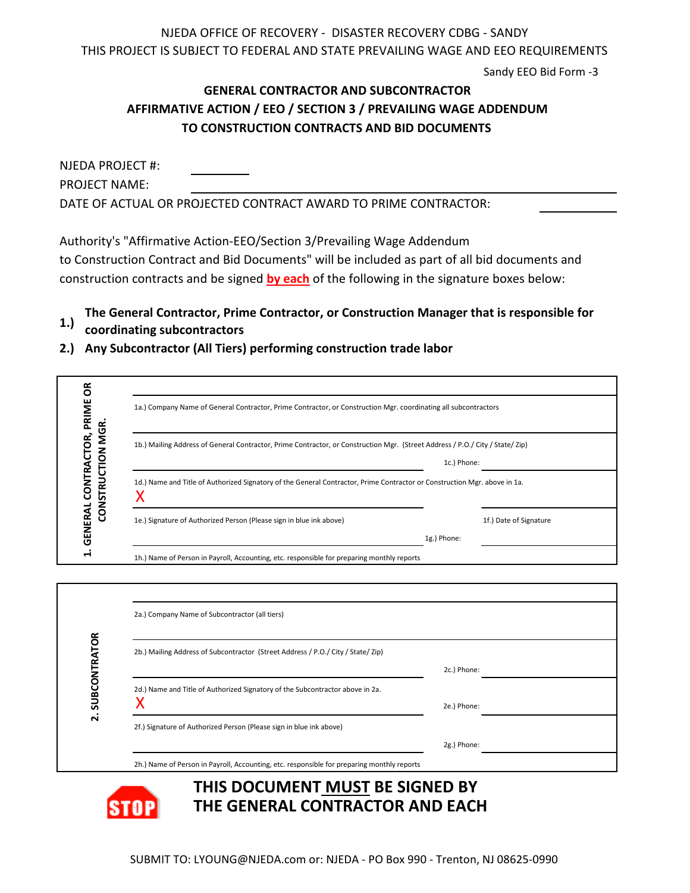NJEDA OFFICE OF RECOVERY - DISASTER RECOVERY CDBG - SANDY THIS PROJECT IS SUBJECT TO FEDERAL AND STATE PREVAILING WAGE AND EEO REQUIREMENTS

Sandy EEO Bid Form -3

## **TO CONSTRUCTION CONTRACTS AND BID DOCUMENTS AFFIRMATIVE ACTION / EEO / SECTION 3 / PREVAILING WAGE ADDENDUM GENERAL CONTRACTOR AND SUBCONTRACTOR**

| NJEDA PROJECT #:     |                                                                 |
|----------------------|-----------------------------------------------------------------|
| <b>PROJECT NAME:</b> |                                                                 |
|                      | DATE OF ACTUAL OR PROJECTED CONTRACT AWARD TO PRIME CONTRACTOR: |

Authority's "Affirmative Action-EEO/Section 3/Prevailing Wage Addendum

to Construction Contract and Bid Documents" will be included as part of all bid documents and construction contracts and be signed **by each** of the following in the signature boxes below:

**1.) The General Contractor, Prime Contractor, or Construction Manager that is responsible for** 

**coordinating subcontractors**

**STAP** 

**2.) Any Subcontractor (All Tiers) performing construction trade labor** 

| õ<br>GENERAL CONTRACTOR, PRIME<br>CONSTRUCTION MGR. | 1a.) Company Name of General Contractor, Prime Contractor, or Construction Mgr. coordinating all subcontractors<br>1b.) Mailing Address of General Contractor, Prime Contractor, or Construction Mgr. (Street Address / P.O./ City / State/ Zip) |                                                                          |  |                        |  |
|-----------------------------------------------------|--------------------------------------------------------------------------------------------------------------------------------------------------------------------------------------------------------------------------------------------------|--------------------------------------------------------------------------|--|------------------------|--|
|                                                     |                                                                                                                                                                                                                                                  |                                                                          |  |                        |  |
|                                                     |                                                                                                                                                                                                                                                  | X<br>1e.) Signature of Authorized Person (Please sign in blue ink above) |  | 1f.) Date of Signature |  |
| $\blacksquare$                                      | 1g.) Phone:<br>1h.) Name of Person in Payroll, Accounting, etc. responsible for preparing monthly reports                                                                                                                                        |                                                                          |  |                        |  |
|                                                     |                                                                                                                                                                                                                                                  |                                                                          |  |                        |  |
|                                                     | 2a.) Company Name of Subcontractor (all tiers)                                                                                                                                                                                                   |                                                                          |  |                        |  |
|                                                     | 2b.) Mailing Address of Subcontractor (Street Address / P.O./ City / State/ Zip)                                                                                                                                                                 | 2c.) Phone:                                                              |  |                        |  |
| 2. SUBCONTRATOR                                     | 2d.) Name and Title of Authorized Signatory of the Subcontractor above in 2a.<br>Χ                                                                                                                                                               | 2e.) Phone:                                                              |  |                        |  |
|                                                     | 2f.) Signature of Authorized Person (Please sign in blue ink above)                                                                                                                                                                              |                                                                          |  |                        |  |
|                                                     |                                                                                                                                                                                                                                                  | 2g.) Phone:                                                              |  |                        |  |

2h.) Name of Person in Payroll, Accounting, etc. responsible for preparing monthly reports

## **THIS DOCUMENT MUST BE SIGNED BY THE GENERAL CONTRACTOR AND EACH**